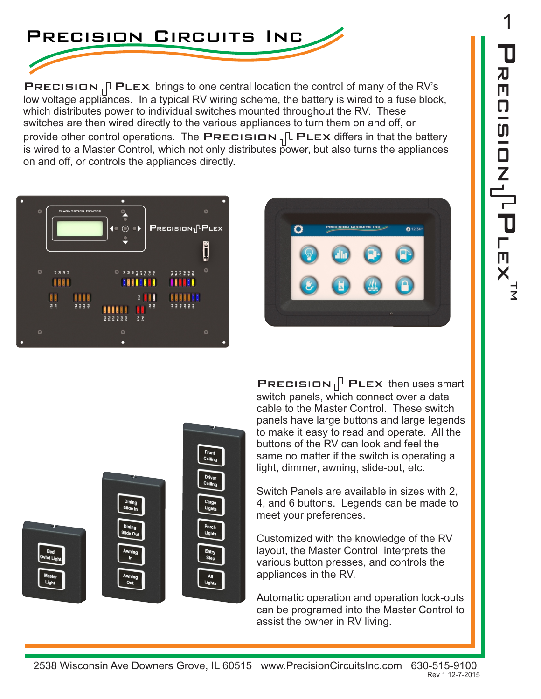

PRECISION,  $\lceil$ PLEX brings to one central location the control of many of the RV's low voltage appliances. In a typical RV wiring scheme, the battery is wired to a fuse block, which distributes power to individual switches mounted throughout the RV. These switches are then wired directly to the various appliances to turn them on and off, or provide other control operations. The PRECISION,  $\Gamma$  PLEX differs in that the battery is wired to a Master Control, which not only distributes power, but also turns the appliances on and off, or controls the appliances directly.







**PRECISION**<sub>1</sub><sup> $\Gamma$ </sup> PLEX then uses smart switch panels, which connect over a data cable to the Master Control. These switch panels have large buttons and large legends to make it easy to read and operate. All the buttons of the RV can look and feel the same no matter if the switch is operating a light, dimmer, awning, slide-out, etc.

Switch Panels are available in sizes with 2, 4, and 6 buttons. Legends can be made to meet your preferences.

Customized with the knowledge of the RV layout, the Master Control interprets the various button presses, and controls the appliances in the RV.

Automatic operation and operation lock-outs can be programed into the Master Control to assist the owner in RV living.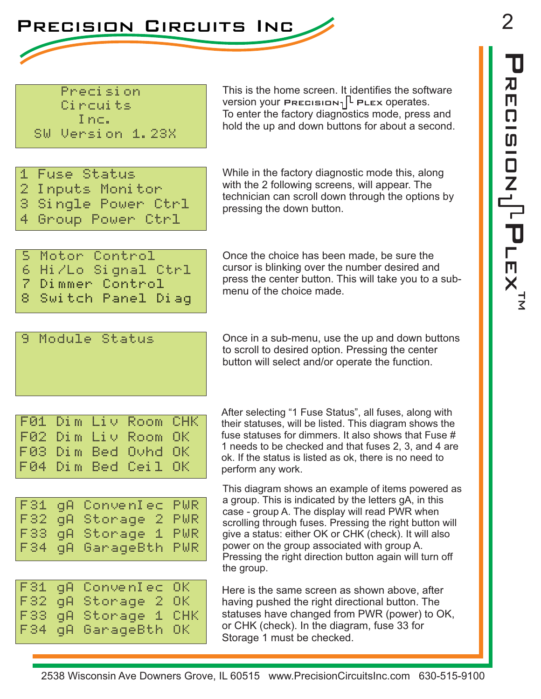

Precision Circuits Inc. SW Version 1.23X

This is the home screen. It identifies the software version your PRECISION<sub>1</sub><sup>L</sup> PLEX operates. To enter the factory diagnostics mode, press and hold the up and down buttons for about a second.

| 1 Fuse Status       |
|---------------------|
| 2 Inputs Monitor    |
| 3 Single Power Ctrl |
| 4 Group Power Ctrl  |

While in the factory diagnostic mode this, along with the 2 following screens, will appear. The technician can scroll down through the options by pressing the down button.

|  | 5 Motor Control     |  |
|--|---------------------|--|
|  | 6 Hi/Lo Signal Ctrl |  |
|  | 7 Dimmer Control    |  |
|  | 8 Switch Panel Diag |  |

Once the choice has been made, be sure the cursor is blinking over the number desired and press the center button. This will take you to a submenu of the choice made.

## 9 Module Status

Once in a sub-menu, use the up and down buttons to scroll to desired option. Pressing the center button will select and/or operate the function.

|  | F01 Dim Liv Room CHK |  |
|--|----------------------|--|
|  | F02 Dim Liv Room OK  |  |
|  | F03 Dim Bed Ovhd OK  |  |
|  | F04 Dim Bed Ceil OK  |  |

|      | F31 qA ConvenIec PWR |  |
|------|----------------------|--|
|      | F32 qA Storage 2 PWR |  |
|      | F33 qA Storage 1 PWR |  |
| F34. | gA GarageBth PWR     |  |

|  | F31 qA ConvenIec OK  |  |
|--|----------------------|--|
|  | F32 qA Storage 2 OK  |  |
|  | F33 qA Storage 1 CHK |  |
|  | F34 qA GarageBth OK  |  |

After selecting "1 Fuse Status", all fuses, along with their statuses, will be listed. This diagram shows the fuse statuses for dimmers. It also shows that Fuse # 1 needs to be checked and that fuses 2, 3, and 4 are ok. If the status is listed as ok, there is no need to perform any work.

This diagram shows an example of items powered as a group. This is indicated by the letters gA, in this case - group A. The display will read PWR when scrolling through fuses. Pressing the right button will give a status: either OK or CHK (check). It will also power on the group associated with group A. Pressing the right direction button again will turn off the group.

Here is the same screen as shown above, after having pushed the right directional button. The statuses have changed from PWR (power) to OK, or CHK (check). In the diagram, fuse 33 for Storage 1 must be checked.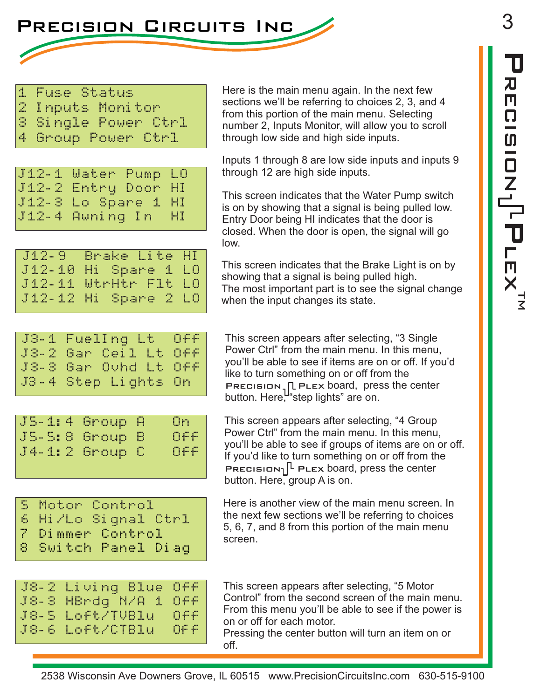3 ー<br>コ  $\mathbf T$ RECISION י<br>כ ー<br>X<br>X



|         | 1 Fuse Status |  |  |
|---------|---------------|--|--|
| l servi |               |  |  |

- $2$  lnputs Monitor
- 3 Single Power Ctrl
- 4 Group Power Ctrl

| J12-1 Water Pump LO |  |
|---------------------|--|
| J12-2 Entry Door HI |  |
| J12-3 Lo Spare 1 HI |  |
| J12-4 Awning In HI  |  |

J12-9 Brake Lite HI J12-10 Hi Spare 1 LO J12-11 WtrHtr Flt LO J12-12 Hi Spare 2 LO Here is the main menu again. In the next few sections we'll be referring to choices 2, 3, and 4 from this portion of the main menu. Selecting number 2, Inputs Monitor, will allow you to scroll through low side and high side inputs.

Inputs 1 through 8 are low side inputs and inputs 9 through 12 are high side inputs.

This screen indicates that the Water Pump switch is on by showing that a signal is being pulled low. Entry Door being HI indicates that the door is closed. When the door is open, the signal will go low.

This screen indicates that the Brake Light is on by showing that a signal is being pulled high. The most important part is to see the signal change when the input changes its state.

|  | J3-1 FuelIng Lt Off  |  |
|--|----------------------|--|
|  | J3-2 Gar Ceil Lt Off |  |
|  | J3-3 Gar Ouhd Lt Off |  |
|  | J3-4 Step Lights On  |  |

| OFF<br>JS-S:8 Group B<br>OFF<br>$J4-1:2$ Group C |  | JS-1:4 Group A | On l |
|--------------------------------------------------|--|----------------|------|
|                                                  |  |                |      |
|                                                  |  |                |      |

This screen appears after selecting, "3 Single Power Ctrl" from the main menu. In this menu, you'll be able to see if items are on or off. If you'd like to turn something on or off from the PRECISION,  $\lfloor P$  PLEX board, press the center button. Here, "step lights" are on.

This screen appears after selecting, "4 Group Power Ctrl" from the main menu. In this menu, you'll be able to see if groups of items are on or off. If you'd like to turn something on or off from the PRECISION<sub>1</sub><sup> $\lceil$ </sup> PLEX board, press the center button. Here, group A is on.

|  | 5 Motor Control     |
|--|---------------------|
|  | 6 Hi/Lo Signal Ctrl |
|  | 7 Dimmer Control    |
|  | 8 Switch Panel Diag |
|  |                     |

Here is another view of the main menu screen. In the next few sections we'll be referring to choices 5, 6, 7, and 8 from this portion of the main menu screen.

| J8-2 Living Blue Off |  |
|----------------------|--|
| J8-3 HBrdg N/A 1 Off |  |
| J8-5 Loft/TUBlu Off  |  |
| J8-6 Loft/CTBlu Off  |  |

This screen appears after selecting, "5 Motor Control" from the second screen of the main menu. From this menu you'll be able to see if the power is on or off for each motor.

Pressing the center button will turn an item on or off.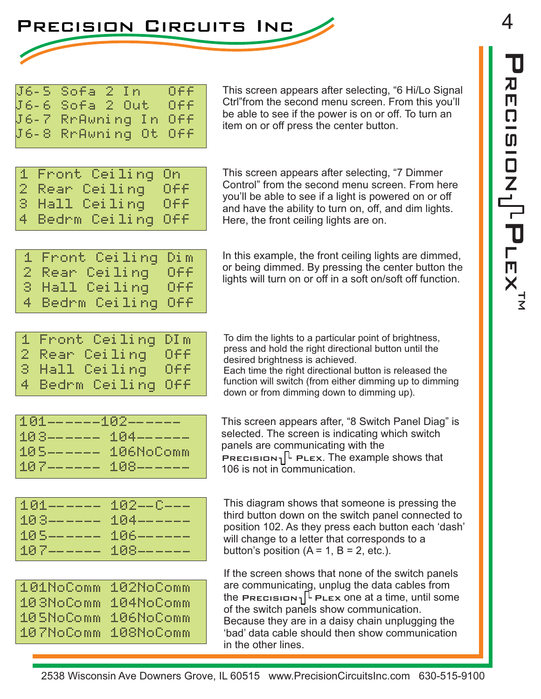

|  | J6-5 Sofa 2 In                              | OFF |
|--|---------------------------------------------|-----|
|  | J6-6 Sofa 2 Out Off<br>J6-7 RrAwning In Off |     |
|  |                                             |     |
|  | J6-8 RrAwning Ot Off                        |     |
|  |                                             |     |

This screen appears after selecting, "6 Hi/Lo Signal Ctrl"from the second menu screen. From this you'll be able to see if the power is on or off. To turn an item on or off press the center button.

| 1 Front Ceiling On  |  |  |
|---------------------|--|--|
| 2 Rear Ceiling Off  |  |  |
| 3 Hall Ceiling Off  |  |  |
| 4 Bedrm Ceiling Off |  |  |

This screen appears after selecting, "7 Dimmer Control" from the second menu screen. From here you'll be able to see if a light is powered on or off and have the ability to turn on, off, and dim lights. Here, the front ceiling lights are on.

|  | 1 Front Ceiling Dim |     |
|--|---------------------|-----|
|  | 2 Rear Ceiling I    | OFF |
|  | 3 Hall Ceiling      | 066 |
|  | 4 Bedrm Ceiling Off |     |

In this example, the front ceiling lights are dimmed, or being dimmed. By pressing the center button the lights will turn on or off in a soft on/soft off function.

| 1 Front Ceiling DIm |  |     |
|---------------------|--|-----|
| 2 Rear Ceiling      |  | Off |
| 3 Hall Ceiling      |  | 0ff |
| 4 Bedrm Ceiling Off |  |     |

To dim the lights to a particular point of brightness, press and hold the right directional button until the desired brightness is achieved. Each time the right directional button is released the

function will switch (from either dimming up to dimming down or from dimming down to dimming up).

| 101------102-----   |  |
|---------------------|--|
| 103------ 104-----  |  |
| 105------ 106NoComm |  |
| 107------ 108------ |  |

This screen appears after, "8 Switch Panel Diag" is selected. The screen is indicating which switch panels are communicating with the PRECISION<sub>1</sub><sup>L</sup> PLEX. The example shows that 106 is not in communication.

| 101------ 102--0--  |  |
|---------------------|--|
| 103------ 104-----  |  |
| 105------- 106----- |  |
| 107------- 108----- |  |
|                     |  |

| 101NoComm | 102NoComm |
|-----------|-----------|
| 103NoComm | 104NoComm |
| 105NoComm | 106NoComm |
| 107NoComm | 108NoComm |

This diagram shows that someone is pressing the third button down on the switch panel connected to position 102. As they press each button each 'dash' will change to a letter that corresponds to a button's position  $(A = 1, B = 2, etc.).$ 

If the screen shows that none of the switch panels are communicating, unplug the data cables from the PRECISION<sub>1</sub><sup>[L</sup> PLEx one at a time, until some of the switch panels show communication. Because they are in a daisy chain unplugging the 'bad' data cable should then show communication in the other lines.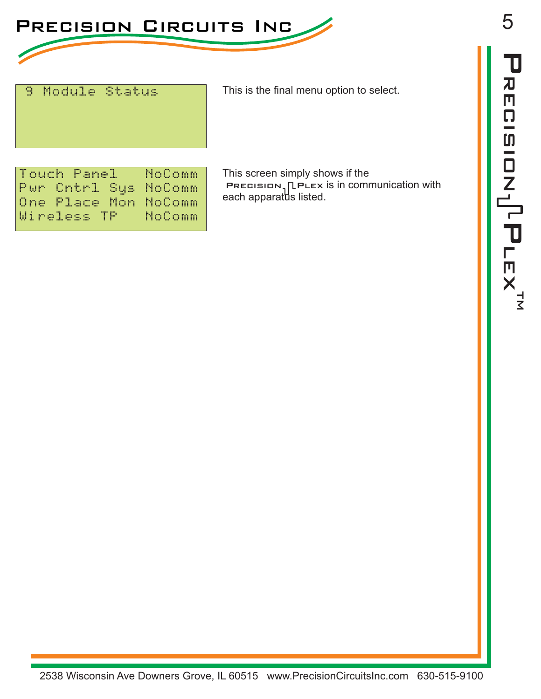

## 9 Module Status

This is the final menu option to select.

Touch Panel NoComm Pwr Cntrl Sys NoComm One Place Mon NoComm<br>Wireless TP - NoComm Wireless TP

This screen simply shows if the PRECISION,  $\lceil$  PLEX is in communication with each apparatus listed.